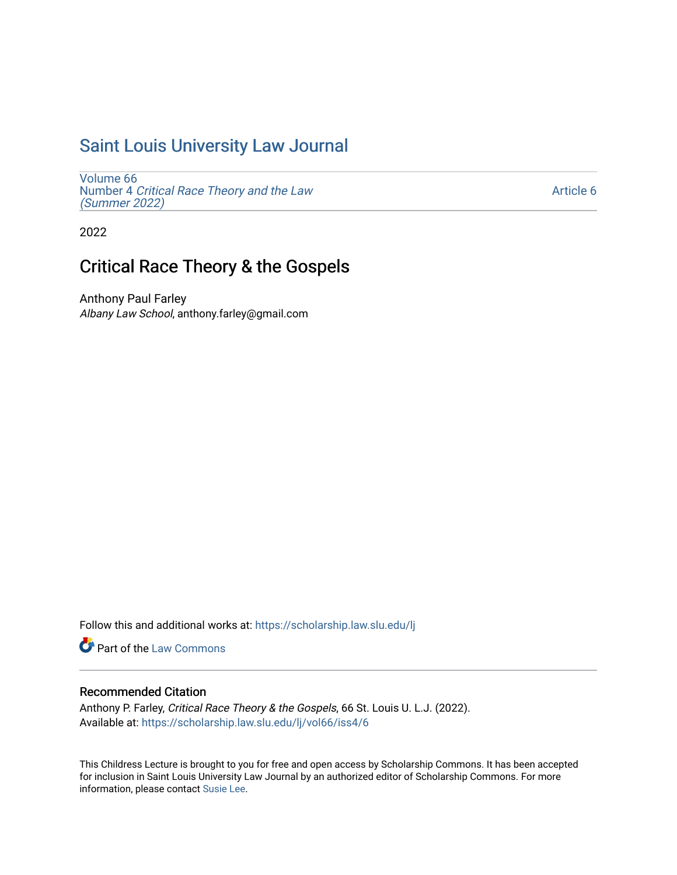# [Saint Louis University Law Journal](https://scholarship.law.slu.edu/lj)

[Volume 66](https://scholarship.law.slu.edu/lj/vol66) Number 4 [Critical Race Theory and the Law](https://scholarship.law.slu.edu/lj/vol66/iss4)  [\(Summer 2022\)](https://scholarship.law.slu.edu/lj/vol66/iss4)

[Article 6](https://scholarship.law.slu.edu/lj/vol66/iss4/6) 

2022

## Critical Race Theory & the Gospels

Anthony Paul Farley Albany Law School, anthony.farley@gmail.com

Follow this and additional works at: [https://scholarship.law.slu.edu/lj](https://scholarship.law.slu.edu/lj?utm_source=scholarship.law.slu.edu%2Flj%2Fvol66%2Fiss4%2F6&utm_medium=PDF&utm_campaign=PDFCoverPages) 

Part of the [Law Commons](https://network.bepress.com/hgg/discipline/578?utm_source=scholarship.law.slu.edu%2Flj%2Fvol66%2Fiss4%2F6&utm_medium=PDF&utm_campaign=PDFCoverPages)

## Recommended Citation

Anthony P. Farley, Critical Race Theory & the Gospels, 66 St. Louis U. L.J. (2022). Available at: [https://scholarship.law.slu.edu/lj/vol66/iss4/6](https://scholarship.law.slu.edu/lj/vol66/iss4/6?utm_source=scholarship.law.slu.edu%2Flj%2Fvol66%2Fiss4%2F6&utm_medium=PDF&utm_campaign=PDFCoverPages) 

This Childress Lecture is brought to you for free and open access by Scholarship Commons. It has been accepted for inclusion in Saint Louis University Law Journal by an authorized editor of Scholarship Commons. For more information, please contact [Susie Lee](mailto:susie.lee@slu.edu).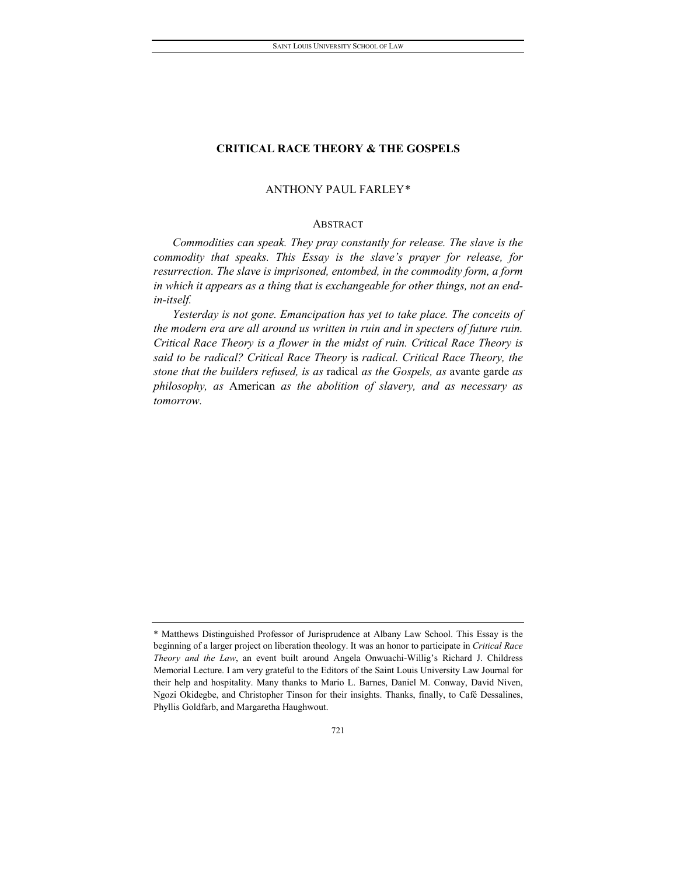### ANTHONY PAUL FARLEY[\\*](#page-1-0)

#### ABSTRACT

*Commodities can speak. They pray constantly for release. The slave is the commodity that speaks. This Essay is the slave's prayer for release, for resurrection. The slave is imprisoned, entombed, in the commodity form, a form in which it appears as a thing that is exchangeable for other things, not an endin-itself.*

*Yesterday is not gone. Emancipation has yet to take place. The conceits of the modern era are all around us written in ruin and in specters of future ruin. Critical Race Theory is a flower in the midst of ruin. Critical Race Theory is said to be radical? Critical Race Theory* is *radical. Critical Race Theory, the stone that the builders refused, is as* radical *as the Gospels, as* avante garde *as philosophy, as* American *as the abolition of slavery, and as necessary as tomorrow.*

<span id="page-1-0"></span><sup>\*</sup> Matthews Distinguished Professor of Jurisprudence at Albany Law School. This Essay is the beginning of a larger project on liberation theology. It was an honor to participate in *Critical Race Theory and the Law*, an event built around Angela Onwuachi-Willig's Richard J. Childress Memorial Lecture. I am very grateful to the Editors of the Saint Louis University Law Journal for their help and hospitality. Many thanks to Mario L. Barnes, Daniel M. Conway, David Niven, Ngozi Okidegbe, and Christopher Tinson for their insights. Thanks, finally, to Café Dessalines, Phyllis Goldfarb, and Margaretha Haughwout.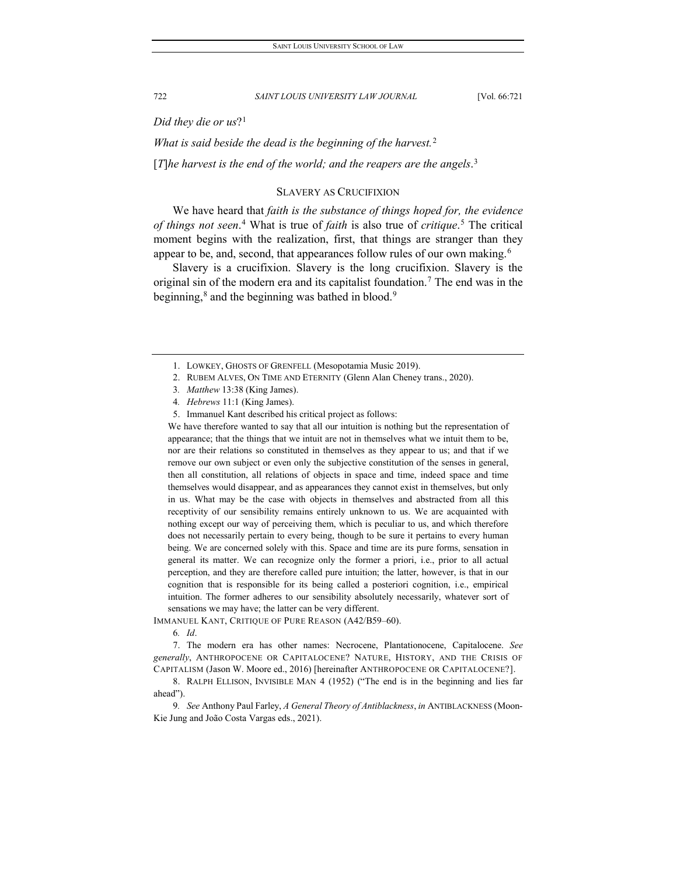*Did they die or us*?[1](#page-2-0)

*What is said beside the dead is the beginning of the harvest.*[2](#page-2-1)

[*T*]*he harvest is the end of the world; and the reapers are the angels*. [3](#page-2-2)

#### SLAVERY AS CRUCIFIXION

We have heard that *faith is the substance of things hoped for, the evidence of things not seen*. [4](#page-2-3) What is true of *faith* is also true of *critique*. [5](#page-2-4) The critical moment begins with the realization, first, that things are stranger than they appear to be, and, second, that appearances follow rules of our own making.<sup>[6](#page-2-5)</sup>

Slavery is a crucifixion. Slavery is the long crucifixion. Slavery is the original sin of the modern era and its capitalist foundation.<sup>[7](#page-2-6)</sup> The end was in the beginning,<sup>[8](#page-2-7)</sup> and the beginning was bathed in blood.<sup>9</sup>

- 4*. Hebrews* 11:1 (King James).
- 5. Immanuel Kant described his critical project as follows:

<span id="page-2-4"></span><span id="page-2-3"></span><span id="page-2-2"></span>We have therefore wanted to say that all our intuition is nothing but the representation of appearance; that the things that we intuit are not in themselves what we intuit them to be, nor are their relations so constituted in themselves as they appear to us; and that if we remove our own subject or even only the subjective constitution of the senses in general, then all constitution, all relations of objects in space and time, indeed space and time themselves would disappear, and as appearances they cannot exist in themselves, but only in us. What may be the case with objects in themselves and abstracted from all this receptivity of our sensibility remains entirely unknown to us. We are acquainted with nothing except our way of perceiving them, which is peculiar to us, and which therefore does not necessarily pertain to every being, though to be sure it pertains to every human being. We are concerned solely with this. Space and time are its pure forms, sensation in general its matter. We can recognize only the former a priori, i.e., prior to all actual perception, and they are therefore called pure intuition; the latter, however, is that in our cognition that is responsible for its being called a posteriori cognition, i.e., empirical intuition. The former adheres to our sensibility absolutely necessarily, whatever sort of sensations we may have; the latter can be very different.

6*. Id*.

<span id="page-2-6"></span>7. The modern era has other names: Necrocene, Plantationocene, Capitalocene. *See generally*, ANTHROPOCENE OR CAPITALOCENE? NATURE, HISTORY, AND THE CRISIS OF CAPITALISM (Jason W. Moore ed., 2016) [hereinafter ANTHROPOCENE OR CAPITALOCENE?].

<span id="page-2-7"></span>8. RALPH ELLISON, INVISIBLE MAN 4 (1952) ("The end is in the beginning and lies far ahead").

<span id="page-2-8"></span>9*. See* Anthony Paul Farley, *A General Theory of Antiblackness*, *in* ANTIBLACKNESS (Moon-Kie Jung and João Costa Vargas eds., 2021).

<span id="page-2-0"></span><sup>1.</sup> LOWKEY, GHOSTS OF GRENFELL (Mesopotamia Music 2019).

<span id="page-2-1"></span><sup>2.</sup> RUBEM ALVES, ON TIME AND ETERNITY (Glenn Alan Cheney trans., 2020).

<sup>3</sup>*. Matthew* 13:38 (King James).

<span id="page-2-5"></span>IMMANUEL KANT, CRITIQUE OF PURE REASON (A42/B59–60).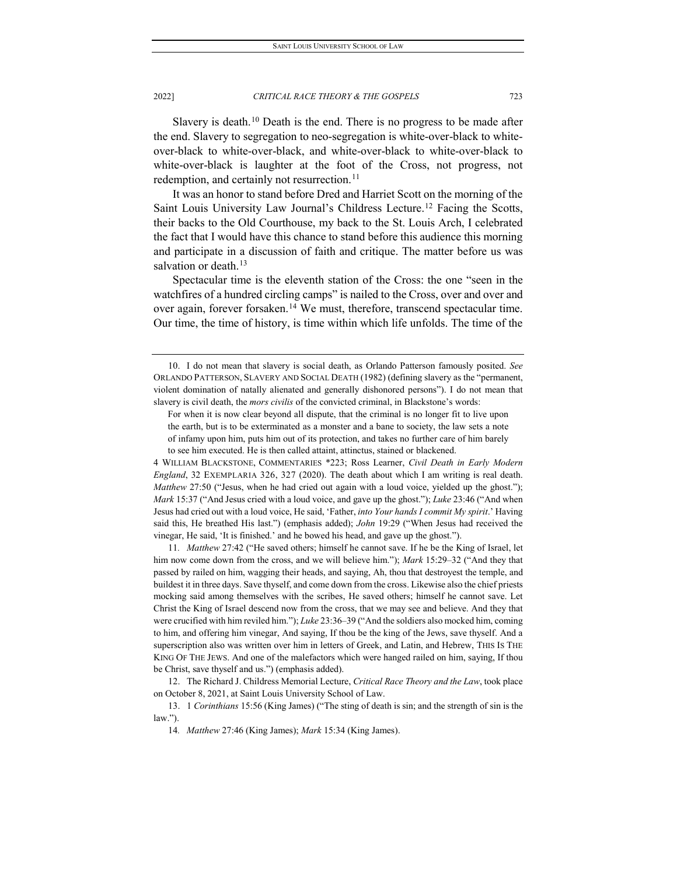Slavery is death.<sup>[10](#page-3-0)</sup> Death is the end. There is no progress to be made after the end. Slavery to segregation to neo-segregation is white-over-black to whiteover-black to white-over-black, and white-over-black to white-over-black to white-over-black is laughter at the foot of the Cross, not progress, not redemption, and certainly not resurrection.<sup>[11](#page-3-1)</sup>

It was an honor to stand before Dred and Harriet Scott on the morning of the Saint Louis University Law Journal's Childress Lecture[.12](#page-3-2) Facing the Scotts, their backs to the Old Courthouse, my back to the St. Louis Arch, I celebrated the fact that I would have this chance to stand before this audience this morning and participate in a discussion of faith and critique. The matter before us was salvation or death. $13$ 

Spectacular time is the eleventh station of the Cross: the one "seen in the watchfires of a hundred circling camps" is nailed to the Cross, over and over and over again, forever forsaken.<sup>14</sup> We must, therefore, transcend spectacular time. Our time, the time of history, is time within which life unfolds. The time of the

4 WILLIAM BLACKSTONE, COMMENTARIES \*223; Ross Learner, *Civil Death in Early Modern England*, 32 EXEMPLARIA 326, 327 (2020). The death about which I am writing is real death. *Matthew* 27:50 ("Jesus, when he had cried out again with a loud voice, yielded up the ghost."); *Mark* 15:37 ("And Jesus cried with a loud voice, and gave up the ghost."); *Luke* 23:46 ("And when Jesus had cried out with a loud voice, He said, 'Father, *into Your hands I commit My spirit*.' Having said this, He breathed His last.") (emphasis added); *John* 19:29 ("When Jesus had received the vinegar, He said, 'It is finished.' and he bowed his head, and gave up the ghost.").

<span id="page-3-1"></span>11*. Matthew* 27:42 ("He saved others; himself he cannot save. If he be the King of Israel, let him now come down from the cross, and we will believe him."); *Mark* 15:29–32 ("And they that passed by railed on him, wagging their heads, and saying, Ah, thou that destroyest the temple, and buildest it in three days. Save thyself, and come down from the cross. Likewise also the chief priests mocking said among themselves with the scribes, He saved others; himself he cannot save. Let Christ the King of Israel descend now from the cross, that we may see and believe. And they that were crucified with him reviled him."); *Luke* 23:36–39 ("And the soldiers also mocked him, coming to him, and offering him vinegar, And saying, If thou be the king of the Jews, save thyself. And a superscription also was written over him in letters of Greek, and Latin, and Hebrew, THIS IS THE KING OF THE JEWS. And one of the malefactors which were hanged railed on him, saying, If thou be Christ, save thyself and us.") (emphasis added).

<span id="page-3-2"></span>12. The Richard J. Childress Memorial Lecture, *Critical Race Theory and the Law*, took place on October 8, 2021, at Saint Louis University School of Law.

<span id="page-3-0"></span><sup>10.</sup> I do not mean that slavery is social death, as Orlando Patterson famously posited. *See* ORLANDO PATTERSON, SLAVERY AND SOCIAL DEATH (1982) (defining slavery as the "permanent, violent domination of natally alienated and generally dishonored persons"). I do not mean that slavery is civil death, the *mors civilis* of the convicted criminal, in Blackstone's words:

For when it is now clear beyond all dispute, that the criminal is no longer fit to live upon the earth, but is to be exterminated as a monster and a bane to society, the law sets a note of infamy upon him, puts him out of its protection, and takes no further care of him barely to see him executed. He is then called attaint, attinctus, stained or blackened.

<span id="page-3-4"></span><span id="page-3-3"></span><sup>13.</sup> 1 *Corinthians* 15:56 (King James) ("The sting of death is sin; and the strength of sin is the law.").

<sup>14</sup>*. Matthew* 27:46 (King James); *Mark* 15:34 (King James).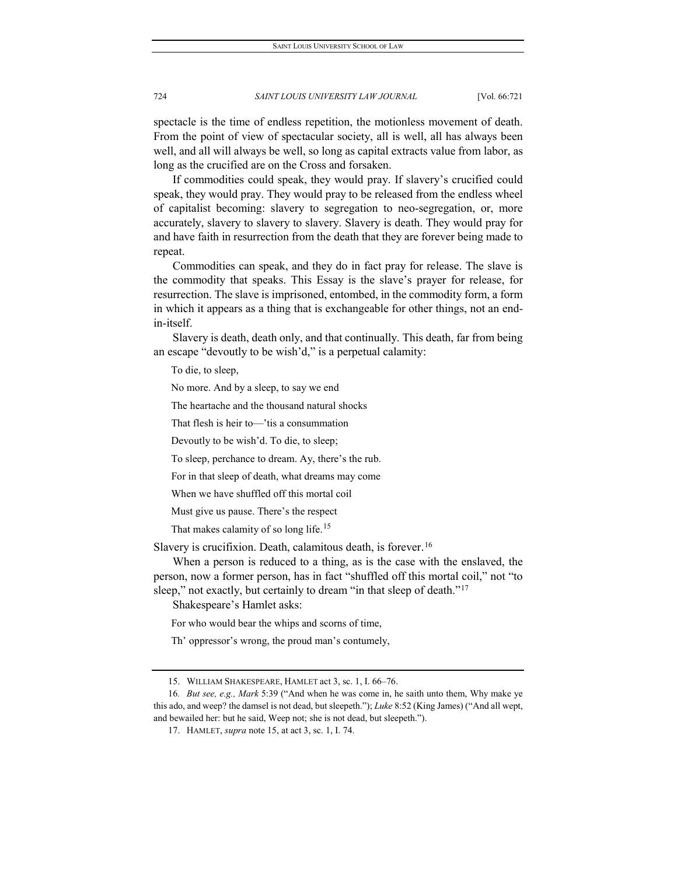spectacle is the time of endless repetition, the motionless movement of death. From the point of view of spectacular society, all is well, all has always been well, and all will always be well, so long as capital extracts value from labor, as long as the crucified are on the Cross and forsaken.

If commodities could speak, they would pray. If slavery's crucified could speak, they would pray. They would pray to be released from the endless wheel of capitalist becoming: slavery to segregation to neo-segregation, or, more accurately, slavery to slavery to slavery. Slavery is death. They would pray for and have faith in resurrection from the death that they are forever being made to repeat.

Commodities can speak, and they do in fact pray for release. The slave is the commodity that speaks. This Essay is the slave's prayer for release, for resurrection. The slave is imprisoned, entombed, in the commodity form, a form in which it appears as a thing that is exchangeable for other things, not an endin-itself.

Slavery is death, death only, and that continually. This death, far from being an escape "devoutly to be wish'd," is a perpetual calamity:

To die, to sleep,

No more. And by a sleep, to say we end

The heartache and the thousand natural shocks

That flesh is heir to—'tis a consummation

Devoutly to be wish'd. To die, to sleep;

To sleep, perchance to dream. Ay, there's the rub.

For in that sleep of death, what dreams may come

When we have shuffled off this mortal coil

Must give us pause. There's the respect

That makes calamity of so long life.<sup>[15](#page-4-0)</sup>

Slavery is crucifixion. Death, calamitous death, is forever.<sup>[16](#page-4-1)</sup>

When a person is reduced to a thing, as is the case with the enslaved, the person, now a former person, has in fact "shuffled off this mortal coil," not "to sleep," not exactly, but certainly to dream "in that sleep of death."<sup>[17](#page-4-2)</sup>

Shakespeare's Hamlet asks:

For who would bear the whips and scorns of time,

Th' oppressor's wrong, the proud man's contumely,

<sup>15.</sup> WILLIAM SHAKESPEARE, HAMLET act 3, sc. 1, I. 66–76.

<span id="page-4-2"></span><span id="page-4-1"></span><span id="page-4-0"></span><sup>16</sup>*. But see, e.g., Mark* 5:39 ("And when he was come in, he saith unto them, Why make ye this ado, and weep? the damsel is not dead, but sleepeth."); *Luke* 8:52 (King James) ("And all wept, and bewailed her: but he said, Weep not; she is not dead, but sleepeth.").

<sup>17.</sup> HAMLET, *supra* note 15, at act 3, sc. 1, I. 74.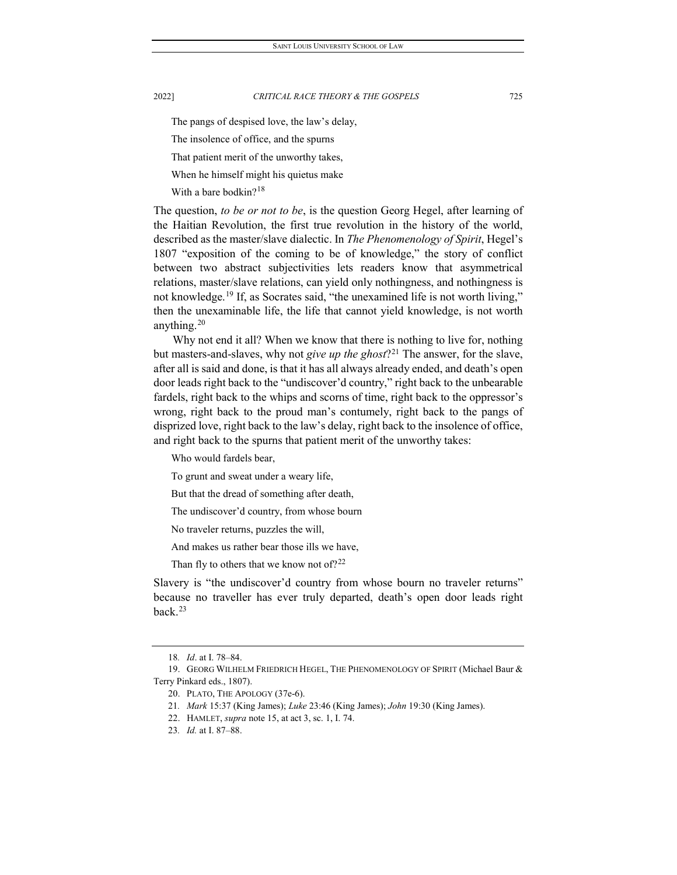The pangs of despised love, the law's delay,

The insolence of office, and the spurns

That patient merit of the unworthy takes,

When he himself might his quietus make

With a bare bodkin?<sup>[18](#page-5-0)</sup>

The question, *to be or not to be*, is the question Georg Hegel, after learning of the Haitian Revolution, the first true revolution in the history of the world, described as the master/slave dialectic. In *The Phenomenology of Spirit*, Hegel's 1807 "exposition of the coming to be of knowledge," the story of conflict between two abstract subjectivities lets readers know that asymmetrical relations, master/slave relations, can yield only nothingness, and nothingness is not knowledge.<sup>[19](#page-5-1)</sup> If, as Socrates said, "the unexamined life is not worth living," then the unexaminable life, the life that cannot yield knowledge, is not worth anything.[20](#page-5-2)

Why not end it all? When we know that there is nothing to live for, nothing but masters-and-slaves, why not *give up the ghost*?<sup>[21](#page-5-3)</sup> The answer, for the slave, after all is said and done, is that it has all always already ended, and death's open door leads right back to the "undiscover'd country," right back to the unbearable fardels, right back to the whips and scorns of time, right back to the oppressor's wrong, right back to the proud man's contumely, right back to the pangs of disprized love, right back to the law's delay, right back to the insolence of office, and right back to the spurns that patient merit of the unworthy takes:

Who would fardels bear,

To grunt and sweat under a weary life,

But that the dread of something after death,

The undiscover'd country, from whose bourn

No traveler returns, puzzles the will,

And makes us rather bear those ills we have,

Than fly to others that we know not of?<sup>[22](#page-5-4)</sup>

Slavery is "the undiscover'd country from whose bourn no traveler returns" because no traveller has ever truly departed, death's open door leads right back.[23](#page-5-5)

<sup>18</sup>*. Id*. at I. 78–84.

<span id="page-5-5"></span><span id="page-5-4"></span><span id="page-5-3"></span><span id="page-5-2"></span><span id="page-5-1"></span><span id="page-5-0"></span><sup>19.</sup> GEORG WILHELM FRIEDRICH HEGEL, THE PHENOMENOLOGY OF SPIRIT (Michael Baur & Terry Pinkard eds., 1807).

<sup>20.</sup> PLATO, THE APOLOGY (37e-6).

<sup>21</sup>*. Mark* 15:37 (King James); *Luke* 23:46 (King James); *John* 19:30 (King James).

<sup>22.</sup> HAMLET, *supra* note 15, at act 3, sc. 1, I. 74.

<sup>23</sup>*. Id.* at I. 87–88.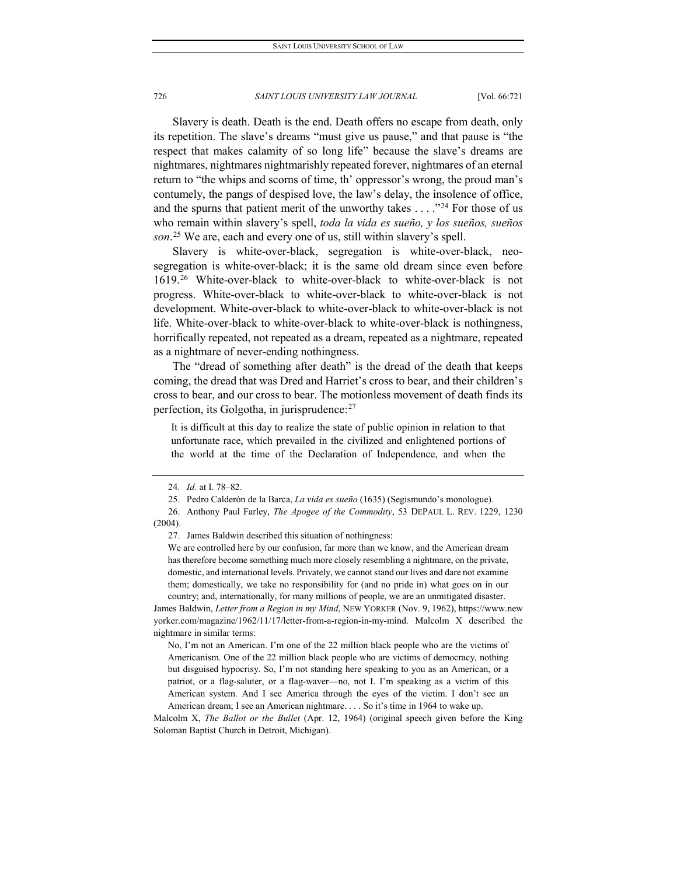Slavery is death. Death is the end. Death offers no escape from death, only its repetition. The slave's dreams "must give us pause," and that pause is "the respect that makes calamity of so long life" because the slave's dreams are nightmares, nightmares nightmarishly repeated forever, nightmares of an eternal return to "the whips and scorns of time, th' oppressor's wrong, the proud man's contumely, the pangs of despised love, the law's delay, the insolence of office, and the spurns that patient merit of the unworthy takes  $\dots$ ."<sup>[24](#page-6-0)</sup> For those of us who remain within slavery's spell, *toda la vida es sueño, y los sueños, sueños son*. [25](#page-6-1) We are, each and every one of us, still within slavery's spell.

Slavery is white-over-black, segregation is white-over-black, neosegregation is white-over-black; it is the same old dream since even before 1619.[26](#page-6-2) White-over-black to white-over-black to white-over-black is not progress. White-over-black to white-over-black to white-over-black is not development. White-over-black to white-over-black to white-over-black is not life. White-over-black to white-over-black to white-over-black is nothingness, horrifically repeated, not repeated as a dream, repeated as a nightmare, repeated as a nightmare of never-ending nothingness.

The "dread of something after death" is the dread of the death that keeps coming, the dread that was Dred and Harriet's cross to bear, and their children's cross to bear, and our cross to bear. The motionless movement of death finds its perfection, its Golgotha, in jurisprudence:[27](#page-6-3)

It is difficult at this day to realize the state of public opinion in relation to that unfortunate race, which prevailed in the civilized and enlightened portions of the world at the time of the Declaration of Independence, and when the

James Baldwin, *Letter from a Region in my Mind*, NEW YORKER (Nov. 9, 1962), https://www.new yorker.com/magazine/1962/11/17/letter-from-a-region-in-my-mind. Malcolm X described the nightmare in similar terms:

No, I'm not an American. I'm one of the 22 million black people who are the victims of Americanism. One of the 22 million black people who are victims of democracy, nothing but disguised hypocrisy. So, I'm not standing here speaking to you as an American, or a patriot, or a flag-saluter, or a flag-waver—no, not I. I'm speaking as a victim of this American system. And I see America through the eyes of the victim. I don't see an American dream; I see an American nightmare. . . . So it's time in 1964 to wake up.

Malcolm X, *The Ballot or the Bullet* (Apr. 12, 1964) (original speech given before the King Soloman Baptist Church in Detroit, Michigan).

<sup>24</sup>*. Id.* at I. 78–82.

<sup>25.</sup> Pedro Calderón de la Barca, *La vida es sueño* (1635) (Segismundo's monologue).

<span id="page-6-3"></span><span id="page-6-2"></span><span id="page-6-1"></span><span id="page-6-0"></span><sup>26.</sup> Anthony Paul Farley, *The Apogee of the Commodity*, 53 DEPAUL L. REV. 1229, 1230 (2004).

<sup>27.</sup> James Baldwin described this situation of nothingness:

We are controlled here by our confusion, far more than we know, and the American dream has therefore become something much more closely resembling a nightmare, on the private, domestic, and international levels. Privately, we cannot stand our lives and dare not examine them; domestically, we take no responsibility for (and no pride in) what goes on in our country; and, internationally, for many millions of people, we are an unmitigated disaster.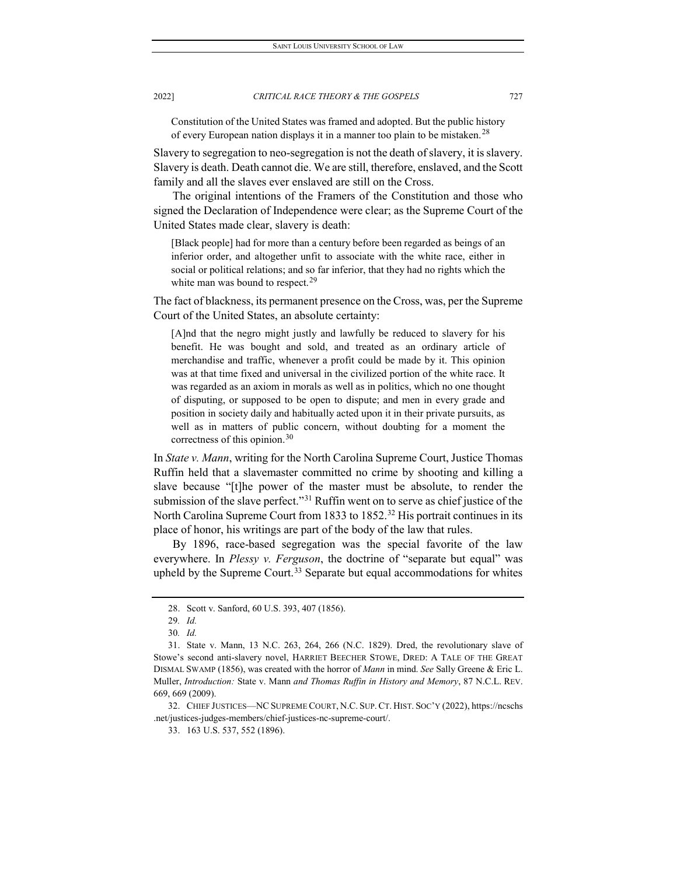Constitution of the United States was framed and adopted. But the public history of every European nation displays it in a manner too plain to be mistaken.<sup>[28](#page-7-0)</sup>

Slavery to segregation to neo-segregation is not the death of slavery, it is slavery. Slavery is death. Death cannot die. We are still, therefore, enslaved, and the Scott family and all the slaves ever enslaved are still on the Cross.

The original intentions of the Framers of the Constitution and those who signed the Declaration of Independence were clear; as the Supreme Court of the United States made clear, slavery is death:

[Black people] had for more than a century before been regarded as beings of an inferior order, and altogether unfit to associate with the white race, either in social or political relations; and so far inferior, that they had no rights which the white man was bound to respect.<sup>[29](#page-7-1)</sup>

The fact of blackness, its permanent presence on the Cross, was, per the Supreme Court of the United States, an absolute certainty:

[A]nd that the negro might justly and lawfully be reduced to slavery for his benefit. He was bought and sold, and treated as an ordinary article of merchandise and traffic, whenever a profit could be made by it. This opinion was at that time fixed and universal in the civilized portion of the white race. It was regarded as an axiom in morals as well as in politics, which no one thought of disputing, or supposed to be open to dispute; and men in every grade and position in society daily and habitually acted upon it in their private pursuits, as well as in matters of public concern, without doubting for a moment the correctness of this opinion.<sup>[30](#page-7-2)</sup>

In *State v. Mann*, writing for the North Carolina Supreme Court, Justice Thomas Ruffin held that a slavemaster committed no crime by shooting and killing a slave because "[t]he power of the master must be absolute, to render the submission of the slave perfect."<sup>[31](#page-7-3)</sup> Ruffin went on to serve as chief justice of the North Carolina Supreme Court from 1833 to 1852.<sup>[32](#page-7-4)</sup> His portrait continues in its place of honor, his writings are part of the body of the law that rules.

By 1896, race-based segregation was the special favorite of the law everywhere. In *Plessy v. Ferguson*, the doctrine of "separate but equal" was upheld by the Supreme Court.<sup>[33](#page-7-5)</sup> Separate but equal accommodations for whites

<sup>28.</sup> Scott v. Sanford, 60 U.S. 393, 407 (1856).

<sup>29</sup>*. Id.*

<sup>30</sup>*. Id.*

<span id="page-7-3"></span><span id="page-7-2"></span><span id="page-7-1"></span><span id="page-7-0"></span><sup>31.</sup> State v. Mann, 13 N.C. 263, 264, 266 (N.C. 1829). Dred, the revolutionary slave of Stowe's second anti-slavery novel, HARRIET BEECHER STOWE, DRED: A TALE OF THE GREAT DISMAL SWAMP (1856), was created with the horror of *Mann* in mind. *See* Sally Greene & Eric L. Muller, *Introduction:* State v. Mann *and Thomas Ruffin in History and Memory*, 87 N.C.L. REV. 669, 669 (2009).

<span id="page-7-5"></span><span id="page-7-4"></span><sup>32.</sup> CHIEF JUSTICES—NCSUPREME COURT, N.C. SUP. CT. HIST. SOC'Y (2022), https://ncschs .net/justices-judges-members/chief-justices-nc-supreme-court/.

<sup>33.</sup> 163 U.S. 537, 552 (1896).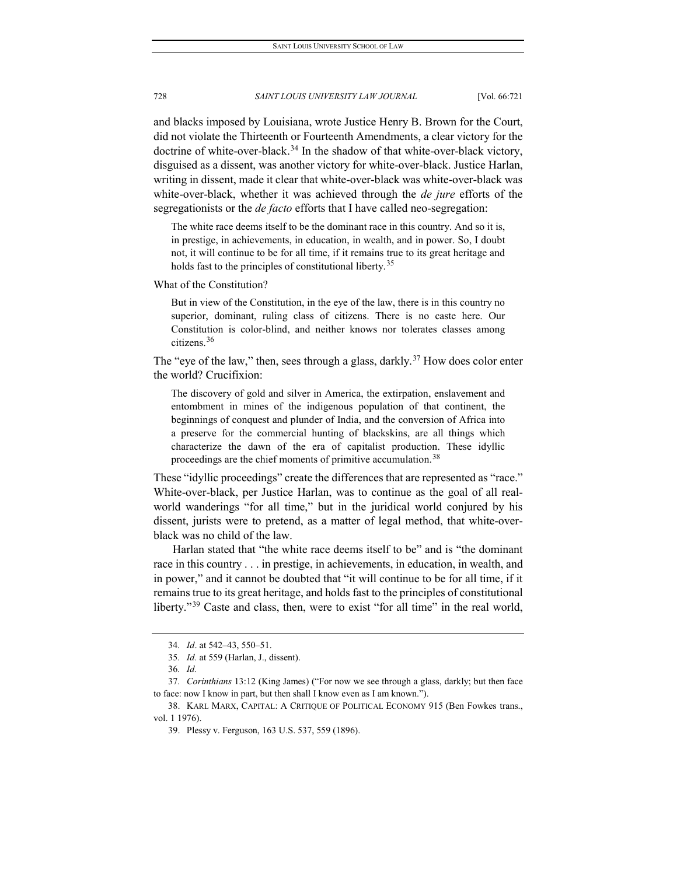and blacks imposed by Louisiana, wrote Justice Henry B. Brown for the Court, did not violate the Thirteenth or Fourteenth Amendments, a clear victory for the doctrine of white-over-black. [34](#page-8-0) In the shadow of that white-over-black victory, disguised as a dissent, was another victory for white-over-black. Justice Harlan, writing in dissent, made it clear that white-over-black was white-over-black was white-over-black, whether it was achieved through the *de jure* efforts of the segregationists or the *de facto* efforts that I have called neo-segregation:

The white race deems itself to be the dominant race in this country. And so it is, in prestige, in achievements, in education, in wealth, and in power. So, I doubt not, it will continue to be for all time, if it remains true to its great heritage and holds fast to the principles of constitutional liberty.<sup>[35](#page-8-1)</sup>

What of the Constitution?

But in view of the Constitution, in the eye of the law, there is in this country no superior, dominant, ruling class of citizens. There is no caste here. Our Constitution is color-blind, and neither knows nor tolerates classes among citizens.[36](#page-8-2)

The "eye of the law," then, sees through a glass, darkly.<sup>[37](#page-8-3)</sup> How does color enter the world? Crucifixion:

The discovery of gold and silver in America, the extirpation, enslavement and entombment in mines of the indigenous population of that continent, the beginnings of conquest and plunder of India, and the conversion of Africa into a preserve for the commercial hunting of blackskins, are all things which characterize the dawn of the era of capitalist production. These idyllic proceedings are the chief moments of primitive accumulation.<sup>[38](#page-8-4)</sup>

These "idyllic proceedings" create the differences that are represented as "race." White-over-black, per Justice Harlan, was to continue as the goal of all realworld wanderings "for all time," but in the juridical world conjured by his dissent, jurists were to pretend, as a matter of legal method, that white-overblack was no child of the law.

Harlan stated that "the white race deems itself to be" and is "the dominant race in this country . . . in prestige, in achievements, in education, in wealth, and in power," and it cannot be doubted that "it will continue to be for all time, if it remains true to its great heritage, and holds fast to the principles of constitutional liberty."<sup>[39](#page-8-5)</sup> Caste and class, then, were to exist "for all time" in the real world,

<sup>34</sup>*. Id*. at 542–43, 550–51.

<sup>35</sup>*. Id.* at 559 (Harlan, J., dissent).

<sup>36</sup>*. Id.*

<span id="page-8-3"></span><span id="page-8-2"></span><span id="page-8-1"></span><span id="page-8-0"></span><sup>37</sup>*. Corinthians* 13:12 (King James) ("For now we see through a glass, darkly; but then face to face: now I know in part, but then shall I know even as I am known.").

<span id="page-8-5"></span><span id="page-8-4"></span><sup>38.</sup> KARL MARX, CAPITAL: A CRITIQUE OF POLITICAL ECONOMY 915 (Ben Fowkes trans., vol. 1 1976).

<sup>39.</sup> Plessy v. Ferguson, 163 U.S. 537, 559 (1896).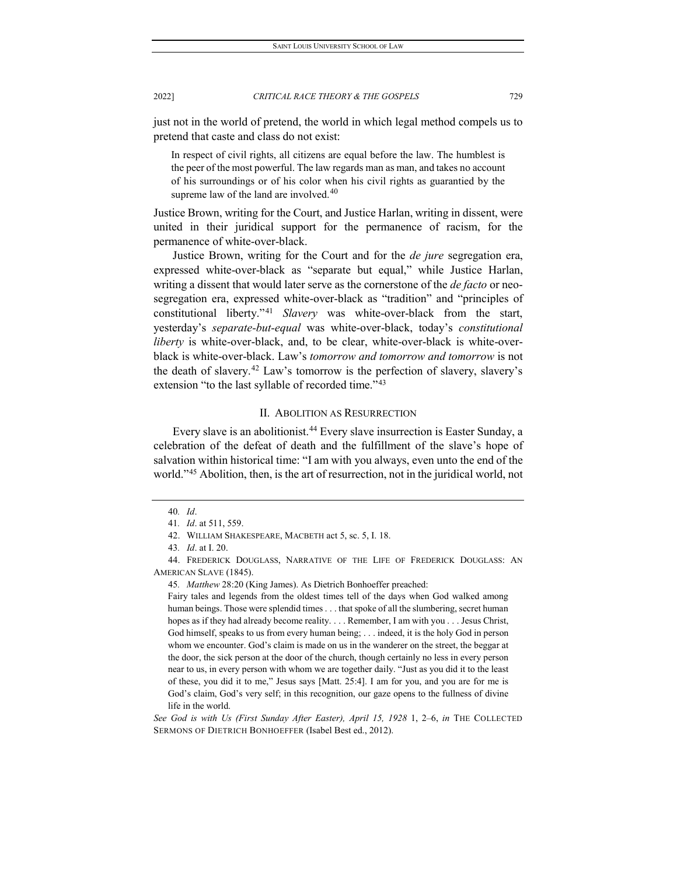just not in the world of pretend, the world in which legal method compels us to pretend that caste and class do not exist:

In respect of civil rights, all citizens are equal before the law. The humblest is the peer of the most powerful. The law regards man as man, and takes no account of his surroundings or of his color when his civil rights as guarantied by the supreme law of the land are involved. $40$ 

Justice Brown, writing for the Court, and Justice Harlan, writing in dissent, were united in their juridical support for the permanence of racism, for the permanence of white-over-black.

Justice Brown, writing for the Court and for the *de jure* segregation era, expressed white-over-black as "separate but equal," while Justice Harlan, writing a dissent that would later serve as the cornerstone of the *de facto* or neosegregation era, expressed white-over-black as "tradition" and "principles of constitutional liberty."[41](#page-9-1) *Slavery* was white-over-black from the start, yesterday's *separate-but-equal* was white-over-black, today's *constitutional liberty* is white-over-black, and, to be clear, white-over-black is white-overblack is white-over-black. Law's *tomorrow and tomorrow and tomorrow* is not the death of slavery.[42](#page-9-2) Law's tomorrow is the perfection of slavery, slavery's extension "to the last syllable of recorded time."<sup>[43](#page-9-3)</sup>

#### II. ABOLITION AS RESURRECTION

Every slave is an abolitionist.[44](#page-9-4) Every slave insurrection is Easter Sunday, a celebration of the defeat of death and the fulfillment of the slave's hope of salvation within historical time: "I am with you always, even unto the end of the world."<sup>[45](#page-9-5)</sup> Abolition, then, is the art of resurrection, not in the juridical world, not

45*. Matthew* 28:20 (King James). As Dietrich Bonhoeffer preached:

Fairy tales and legends from the oldest times tell of the days when God walked among human beings. Those were splendid times . . . that spoke of all the slumbering, secret human hopes as if they had already become reality. . . . Remember, I am with you . . . Jesus Christ, God himself, speaks to us from every human being; . . . indeed, it is the holy God in person whom we encounter. God's claim is made on us in the wanderer on the street, the beggar at the door, the sick person at the door of the church, though certainly no less in every person near to us, in every person with whom we are together daily. "Just as you did it to the least of these, you did it to me," Jesus says [Matt. 25:4]. I am for you, and you are for me is God's claim, God's very self; in this recognition, our gaze opens to the fullness of divine life in the world.

<sup>40</sup>*. Id*.

<sup>41</sup>*. Id*. at 511, 559.

<sup>42.</sup> WILLIAM SHAKESPEARE, MACBETH act 5, sc. 5, I. 18.

<sup>43</sup>*. Id*. at I. 20.

<span id="page-9-5"></span><span id="page-9-4"></span><span id="page-9-3"></span><span id="page-9-2"></span><span id="page-9-1"></span><span id="page-9-0"></span><sup>44.</sup> FREDERICK DOUGLASS, NARRATIVE OF THE LIFE OF FREDERICK DOUGLASS: AN AMERICAN SLAVE (1845).

*See God is with Us (First Sunday After Easter), April 15, 1928* 1, 2–6, *in* THE COLLECTED SERMONS OF DIETRICH BONHOEFFER (Isabel Best ed., 2012).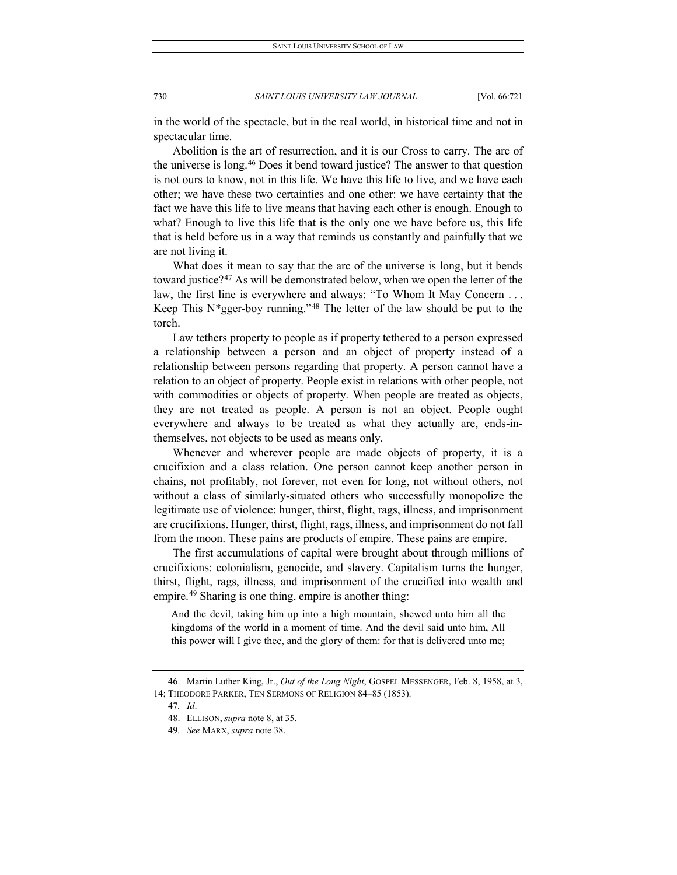in the world of the spectacle, but in the real world, in historical time and not in spectacular time.

Abolition is the art of resurrection, and it is our Cross to carry. The arc of the universe is long.[46](#page-10-0) Does it bend toward justice? The answer to that question is not ours to know, not in this life. We have this life to live, and we have each other; we have these two certainties and one other: we have certainty that the fact we have this life to live means that having each other is enough. Enough to what? Enough to live this life that is the only one we have before us, this life that is held before us in a way that reminds us constantly and painfully that we are not living it.

What does it mean to say that the arc of the universe is long, but it bends toward justice?<sup>[47](#page-10-1)</sup> As will be demonstrated below, when we open the letter of the law, the first line is everywhere and always: "To Whom It May Concern . . . Keep This  $N*gger-boy$  running."<sup>[48](#page-10-2)</sup> The letter of the law should be put to the torch.

Law tethers property to people as if property tethered to a person expressed a relationship between a person and an object of property instead of a relationship between persons regarding that property. A person cannot have a relation to an object of property. People exist in relations with other people, not with commodities or objects of property. When people are treated as objects, they are not treated as people. A person is not an object. People ought everywhere and always to be treated as what they actually are, ends-inthemselves, not objects to be used as means only.

Whenever and wherever people are made objects of property, it is a crucifixion and a class relation. One person cannot keep another person in chains, not profitably, not forever, not even for long, not without others, not without a class of similarly-situated others who successfully monopolize the legitimate use of violence: hunger, thirst, flight, rags, illness, and imprisonment are crucifixions. Hunger, thirst, flight, rags, illness, and imprisonment do not fall from the moon. These pains are products of empire. These pains are empire.

The first accumulations of capital were brought about through millions of crucifixions: colonialism, genocide, and slavery. Capitalism turns the hunger, thirst, flight, rags, illness, and imprisonment of the crucified into wealth and empire.<sup>[49](#page-10-3)</sup> Sharing is one thing, empire is another thing:

And the devil, taking him up into a high mountain, shewed unto him all the kingdoms of the world in a moment of time. And the devil said unto him, All this power will I give thee, and the glory of them: for that is delivered unto me;

<span id="page-10-3"></span><span id="page-10-2"></span><span id="page-10-1"></span><span id="page-10-0"></span><sup>46.</sup> Martin Luther King, Jr., *Out of the Long Night*, GOSPEL MESSENGER, Feb. 8, 1958, at 3, 14; THEODORE PARKER, TEN SERMONS OF RELIGION 84–85 (1853).

<sup>47</sup>*. Id*.

<sup>48.</sup> ELLISON, *supra* note 8, at 35.

<sup>49</sup>*. See* MARX, *supra* note 38.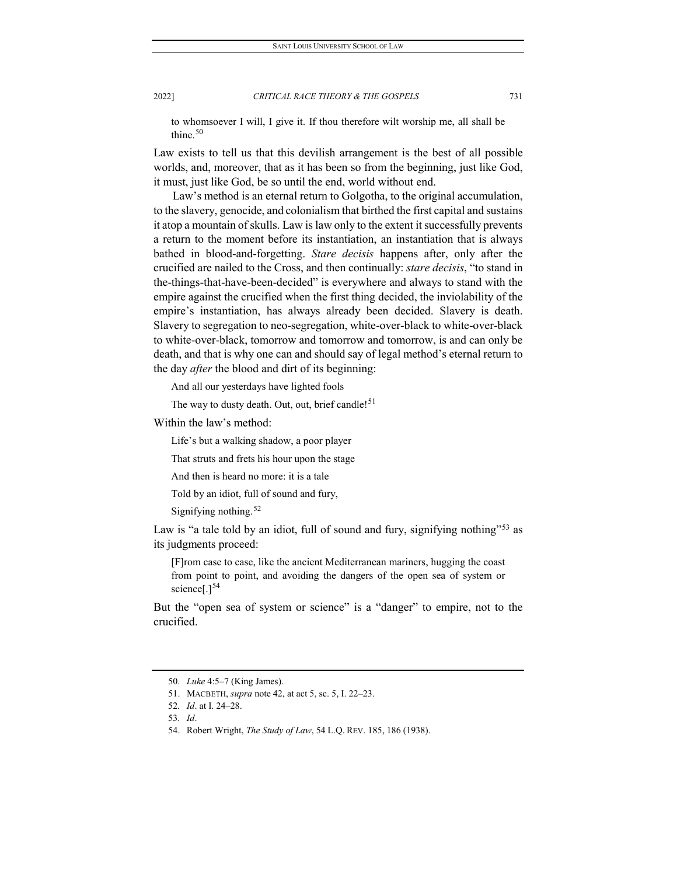to whomsoever I will, I give it. If thou therefore wilt worship me, all shall be thine. $50$ 

Law exists to tell us that this devilish arrangement is the best of all possible worlds, and, moreover, that as it has been so from the beginning, just like God, it must, just like God, be so until the end, world without end.

Law's method is an eternal return to Golgotha, to the original accumulation, to the slavery, genocide, and colonialism that birthed the first capital and sustains it atop a mountain of skulls. Law is law only to the extent it successfully prevents a return to the moment before its instantiation, an instantiation that is always bathed in blood-and-forgetting. *Stare decisis* happens after, only after the crucified are nailed to the Cross, and then continually: *stare decisis*, "to stand in the-things-that-have-been-decided" is everywhere and always to stand with the empire against the crucified when the first thing decided, the inviolability of the empire's instantiation, has always already been decided. Slavery is death. Slavery to segregation to neo-segregation, white-over-black to white-over-black to white-over-black, tomorrow and tomorrow and tomorrow, is and can only be death, and that is why one can and should say of legal method's eternal return to the day *after* the blood and dirt of its beginning:

And all our yesterdays have lighted fools

The way to dusty death. Out, out, brief candle!<sup>[51](#page-11-1)</sup>

Within the law's method:

Life's but a walking shadow, a poor player

That struts and frets his hour upon the stage

And then is heard no more: it is a tale

Told by an idiot, full of sound and fury,

Signifying nothing.<sup>[52](#page-11-2)</sup>

Law is "a tale told by an idiot, full of sound and fury, signifying nothing"<sup>[53](#page-11-3)</sup> as its judgments proceed:

[F]rom case to case, like the ancient Mediterranean mariners, hugging the coast from point to point, and avoiding the dangers of the open sea of system or science<sup>[1][54](#page-11-4)</sup>

But the "open sea of system or science" is a "danger" to empire, not to the crucified.

<span id="page-11-0"></span><sup>50</sup>*. Luke* 4:5–7 (King James).

<span id="page-11-1"></span><sup>51.</sup> MACBETH, *supra* note 42, at act 5, sc. 5, I. 22–23.

<span id="page-11-2"></span><sup>52</sup>*. Id*. at I. 24–28.

<span id="page-11-3"></span><sup>53</sup>*. Id*.

<span id="page-11-4"></span><sup>54.</sup> Robert Wright, *The Study of Law*, 54 L.Q. REV. 185, 186 (1938).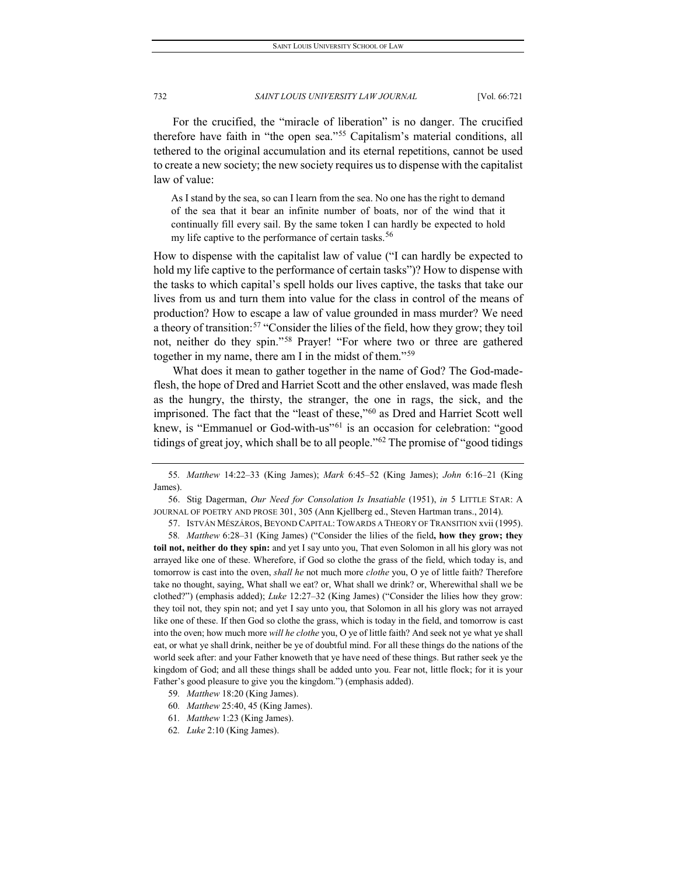For the crucified, the "miracle of liberation" is no danger. The crucified therefore have faith in "the open sea."[55](#page-12-0) Capitalism's material conditions, all tethered to the original accumulation and its eternal repetitions, cannot be used to create a new society; the new society requires us to dispense with the capitalist law of value:

As I stand by the sea, so can I learn from the sea. No one has the right to demand of the sea that it bear an infinite number of boats, nor of the wind that it continually fill every sail. By the same token I can hardly be expected to hold my life captive to the performance of certain tasks.<sup>[56](#page-12-1)</sup>

How to dispense with the capitalist law of value ("I can hardly be expected to hold my life captive to the performance of certain tasks")? How to dispense with the tasks to which capital's spell holds our lives captive, the tasks that take our lives from us and turn them into value for the class in control of the means of production? How to escape a law of value grounded in mass murder? We need a theory of transition:<sup>[57](#page-12-2)</sup> "Consider the lilies of the field, how they grow; they toil not, neither do they spin."[58](#page-12-3) Prayer! "For where two or three are gathered together in my name, there am I in the midst of them."[59](#page-12-4)

What does it mean to gather together in the name of God? The God-madeflesh, the hope of Dred and Harriet Scott and the other enslaved, was made flesh as the hungry, the thirsty, the stranger, the one in rags, the sick, and the imprisoned. The fact that the "least of these,"[60](#page-12-5) as Dred and Harriet Scott well knew, is "Emmanuel or God-with-us"<sup>[61](#page-12-6)</sup> is an occasion for celebration: "good tidings of great joy, which shall be to all people."[62](#page-12-7) The promise of "good tidings

<span id="page-12-0"></span><sup>55</sup>*. Matthew* 14:22–33 (King James); *Mark* 6:45–52 (King James); *John* 6:16–21 (King James).

<span id="page-12-1"></span><sup>56.</sup> Stig Dagerman, *Our Need for Consolation Is Insatiable* (1951), *in* 5 LITTLE STAR: A JOURNAL OF POETRY AND PROSE 301, 305 (Ann Kjellberg ed., Steven Hartman trans., 2014).

<sup>57.</sup> ISTVÁN MÉSZÁROS, BEYOND CAPITAL: TOWARDS A THEORY OF TRANSITION xvii (1995).

<span id="page-12-3"></span><span id="page-12-2"></span><sup>58</sup>*. Matthew* 6:28–31 (King James) ("Consider the lilies of the field**, how they grow; they toil not, neither do they spin:** and yet I say unto you, That even Solomon in all his glory was not arrayed like one of these. Wherefore, if God so clothe the grass of the field, which today is, and tomorrow is cast into the oven, *shall he* not much more *clothe* you, O ye of little faith? Therefore take no thought, saying, What shall we eat? or, What shall we drink? or, Wherewithal shall we be clothed?") (emphasis added); *Luke* 12:27–32 (King James) ("Consider the lilies how they grow: they toil not, they spin not; and yet I say unto you, that Solomon in all his glory was not arrayed like one of these. If then God so clothe the grass, which is today in the field, and tomorrow is cast into the oven; how much more *will he clothe* you, O ye of little faith? And seek not ye what ye shall eat, or what ye shall drink, neither be ye of doubtful mind. For all these things do the nations of the world seek after: and your Father knoweth that ye have need of these things. But rather seek ye the kingdom of God; and all these things shall be added unto you. Fear not, little flock; for it is your Father's good pleasure to give you the kingdom.") (emphasis added).

<sup>59</sup>*. Matthew* 18:20 (King James).

<span id="page-12-5"></span><span id="page-12-4"></span><sup>60</sup>*. Matthew* 25:40, 45 (King James).

<span id="page-12-7"></span><span id="page-12-6"></span><sup>61</sup>*. Matthew* 1:23 (King James).

<sup>62</sup>*. Luke* 2:10 (King James).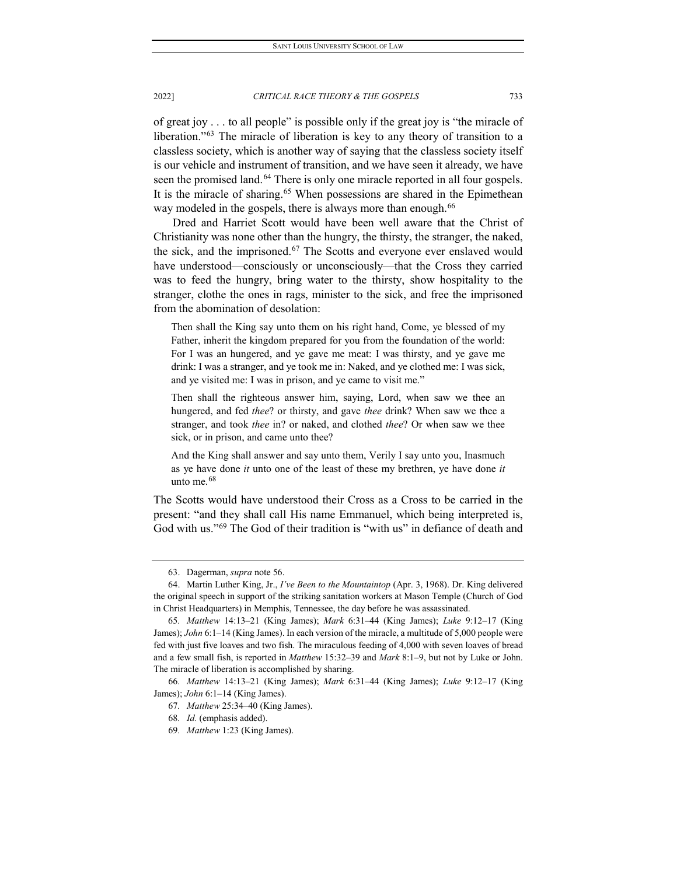of great joy . . . to all people" is possible only if the great joy is "the miracle of liberation."<sup>[63](#page-13-0)</sup> The miracle of liberation is key to any theory of transition to a classless society, which is another way of saying that the classless society itself is our vehicle and instrument of transition, and we have seen it already, we have seen the promised land.<sup>[64](#page-13-1)</sup> There is only one miracle reported in all four gospels. It is the miracle of sharing.<sup>[65](#page-13-2)</sup> When possessions are shared in the Epimethean way modeled in the gospels, there is always more than enough.<sup>[66](#page-13-3)</sup>

Dred and Harriet Scott would have been well aware that the Christ of Christianity was none other than the hungry, the thirsty, the stranger, the naked, the sick, and the imprisoned.[67](#page-13-4) The Scotts and everyone ever enslaved would have understood—consciously or unconsciously—that the Cross they carried was to feed the hungry, bring water to the thirsty, show hospitality to the stranger, clothe the ones in rags, minister to the sick, and free the imprisoned from the abomination of desolation:

Then shall the King say unto them on his right hand, Come, ye blessed of my Father, inherit the kingdom prepared for you from the foundation of the world: For I was an hungered, and ye gave me meat: I was thirsty, and ye gave me drink: I was a stranger, and ye took me in: Naked, and ye clothed me: I was sick, and ye visited me: I was in prison, and ye came to visit me."

Then shall the righteous answer him, saying, Lord, when saw we thee an hungered, and fed *thee*? or thirsty, and gave *thee* drink? When saw we thee a stranger, and took *thee* in? or naked, and clothed *thee*? Or when saw we thee sick, or in prison, and came unto thee?

And the King shall answer and say unto them, Verily I say unto you, Inasmuch as ye have done *it* unto one of the least of these my brethren, ye have done *it* unto me.<sup>[68](#page-13-5)</sup>

The Scotts would have understood their Cross as a Cross to be carried in the present: "and they shall call His name Emmanuel, which being interpreted is, God with us."[69](#page-13-6) The God of their tradition is "with us" in defiance of death and

<sup>63.</sup> Dagerman, *supra* note 56.

<span id="page-13-1"></span><span id="page-13-0"></span><sup>64.</sup> Martin Luther King, Jr., *I've Been to the Mountaintop* (Apr. 3, 1968). Dr. King delivered the original speech in support of the striking sanitation workers at Mason Temple (Church of God in Christ Headquarters) in Memphis, Tennessee, the day before he was assassinated.

<span id="page-13-2"></span><sup>65</sup>*. Matthew* 14:13–21 (King James); *Mark* 6:31–44 (King James); *Luke* 9:12–17 (King James); *John* 6:1–14 (King James). In each version of the miracle, a multitude of 5,000 people were fed with just five loaves and two fish. The miraculous feeding of 4,000 with seven loaves of bread and a few small fish, is reported in *Matthew* 15:32–39 and *Mark* 8:1–9, but not by Luke or John. The miracle of liberation is accomplished by sharing.

<span id="page-13-6"></span><span id="page-13-5"></span><span id="page-13-4"></span><span id="page-13-3"></span><sup>66</sup>*. Matthew* 14:13–21 (King James); *Mark* 6:31–44 (King James); *Luke* 9:12–17 (King James); *John* 6:1–14 (King James).

<sup>67</sup>*. Matthew* 25:34–40 (King James).

<sup>68</sup>*. Id.* (emphasis added).

<sup>69</sup>*. Matthew* 1:23 (King James).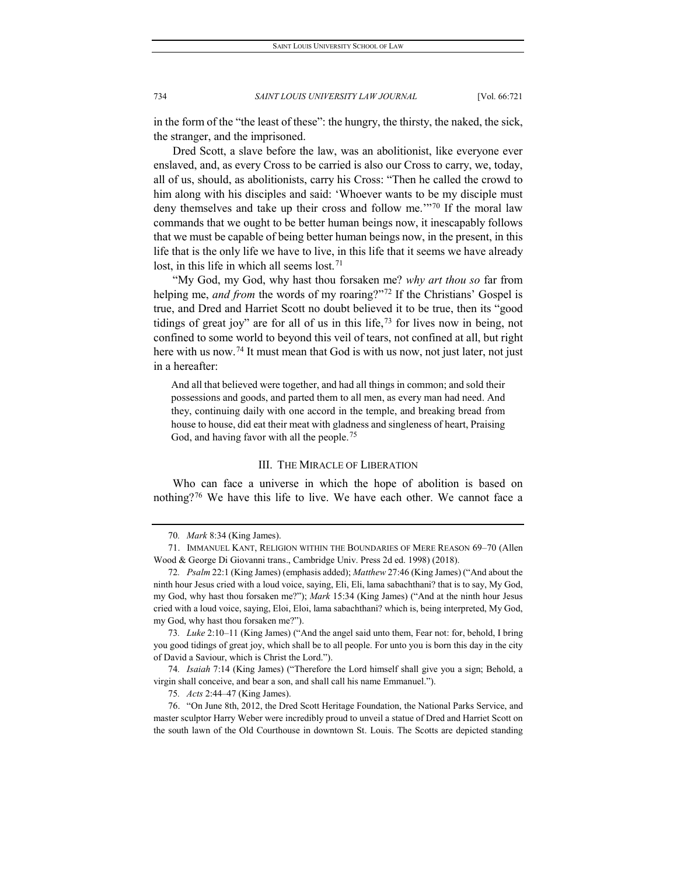in the form of the "the least of these": the hungry, the thirsty, the naked, the sick, the stranger, and the imprisoned.

Dred Scott, a slave before the law, was an abolitionist, like everyone ever enslaved, and, as every Cross to be carried is also our Cross to carry, we, today, all of us, should, as abolitionists, carry his Cross: "Then he called the crowd to him along with his disciples and said: 'Whoever wants to be my disciple must deny themselves and take up their cross and follow me.'"[70](#page-14-0) If the moral law commands that we ought to be better human beings now, it inescapably follows that we must be capable of being better human beings now, in the present, in this life that is the only life we have to live, in this life that it seems we have already lost, in this life in which all seems lost.<sup>[71](#page-14-1)</sup>

"My God, my God, why hast thou forsaken me? *why art thou so* far from helping me, *and from* the words of my roaring?"<sup>[72](#page-14-2)</sup> If the Christians' Gospel is true, and Dred and Harriet Scott no doubt believed it to be true, then its "good tidings of great joy" are for all of us in this life,  $73$  for lives now in being, not confined to some world to beyond this veil of tears, not confined at all, but right here with us now.<sup>[74](#page-14-4)</sup> It must mean that God is with us now, not just later, not just in a hereafter:

And all that believed were together, and had all things in common; and sold their possessions and goods, and parted them to all men, as every man had need. And they, continuing daily with one accord in the temple, and breaking bread from house to house, did eat their meat with gladness and singleness of heart, Praising God, and having favor with all the people.<sup>[75](#page-14-5)</sup>

#### III. THE MIRACLE OF LIBERATION

Who can face a universe in which the hope of abolition is based on nothing?<sup>[76](#page-14-6)</sup> We have this life to live. We have each other. We cannot face a

<span id="page-14-3"></span>73*. Luke* 2:10–11 (King James) ("And the angel said unto them, Fear not: for, behold, I bring you good tidings of great joy, which shall be to all people. For unto you is born this day in the city of David a Saviour, which is Christ the Lord.").

<span id="page-14-4"></span>74*. Isaiah* 7:14 (King James) ("Therefore the Lord himself shall give you a sign; Behold, a virgin shall conceive, and bear a son, and shall call his name Emmanuel.").

75*. Acts* 2:44–47 (King James).

<span id="page-14-6"></span><span id="page-14-5"></span>76. "On June 8th, 2012, the Dred Scott Heritage Foundation, the National Parks Service, and master sculptor Harry Weber were incredibly proud to unveil a statue of Dred and Harriet Scott on the south lawn of the Old Courthouse in downtown St. Louis. The Scotts are depicted standing

<sup>70</sup>*. Mark* 8:34 (King James).

<span id="page-14-1"></span><span id="page-14-0"></span><sup>71.</sup> IMMANUEL KANT, RELIGION WITHIN THE BOUNDARIES OF MERE REASON 69–70 (Allen Wood & George Di Giovanni trans., Cambridge Univ. Press 2d ed. 1998) (2018).

<span id="page-14-2"></span><sup>72</sup>*. Psalm* 22:1 (King James) (emphasis added); *Matthew* 27:46 (King James) ("And about the ninth hour Jesus cried with a loud voice, saying, Eli, Eli, lama sabachthani? that is to say, My God, my God, why hast thou forsaken me?"); *Mark* 15:34 (King James) ("And at the ninth hour Jesus cried with a loud voice, saying, Eloi, Eloi, lama sabachthani? which is, being interpreted, My God, my God, why hast thou forsaken me?").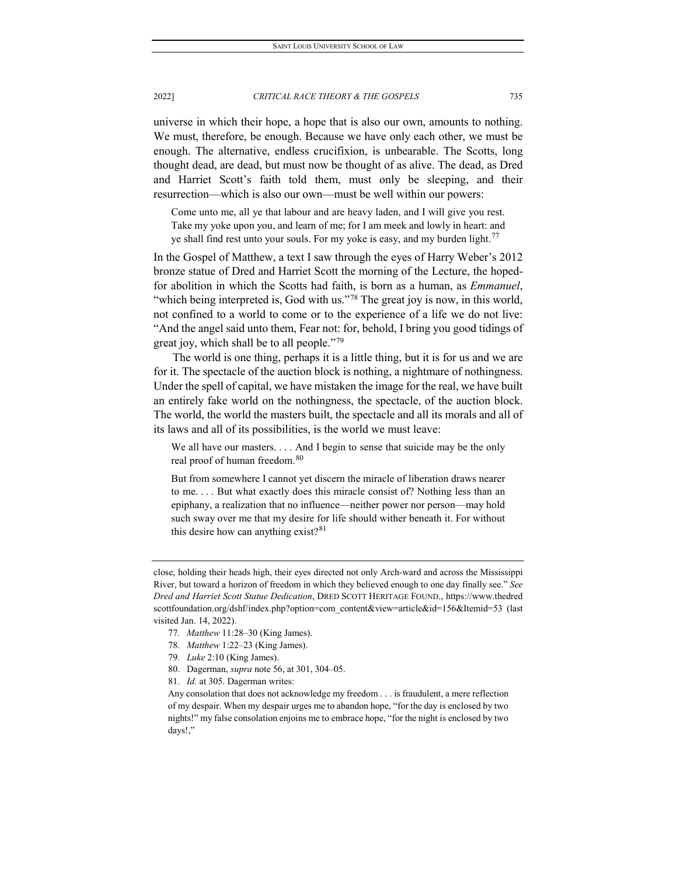universe in which their hope, a hope that is also our own, amounts to nothing. We must, therefore, be enough. Because we have only each other, we must be enough. The alternative, endless crucifixion, is unbearable. The Scotts, long thought dead, are dead, but must now be thought of as alive. The dead, as Dred and Harriet Scott's faith told them, must only be sleeping, and their resurrection—which is also our own—must be well within our powers:

Come unto me, all ye that labour and are heavy laden, and I will give you rest. Take my yoke upon you, and learn of me; for I am meek and lowly in heart: and ye shall find rest unto your souls. For my yoke is easy, and my burden light.<sup>[77](#page-15-0)</sup>

In the Gospel of Matthew, a text I saw through the eyes of Harry Weber's 2012 bronze statue of Dred and Harriet Scott the morning of the Lecture, the hopedfor abolition in which the Scotts had faith, is born as a human, as *Emmanuel*, "which being interpreted is, God with us."<sup>[78](#page-15-1)</sup> The great joy is now, in this world, not confined to a world to come or to the experience of a life we do not live: "And the angel said unto them, Fear not: for, behold, I bring you good tidings of great joy, which shall be to all people."[79](#page-15-2)

The world is one thing, perhaps it is a little thing, but it is for us and we are for it. The spectacle of the auction block is nothing, a nightmare of nothingness. Under the spell of capital, we have mistaken the image for the real, we have built an entirely fake world on the nothingness, the spectacle, of the auction block. The world, the world the masters built, the spectacle and all its morals and all of its laws and all of its possibilities, is the world we must leave:

We all have our masters. . . . And I begin to sense that suicide may be the only real proof of human freedom.<sup>[80](#page-15-3)</sup>

But from somewhere I cannot yet discern the miracle of liberation draws nearer to me. . . . But what exactly does this miracle consist of? Nothing less than an epiphany, a realization that no influence—neither power nor person—may hold such sway over me that my desire for life should wither beneath it. For without this desire how can anything exist? $81$ 

- 77*. Matthew* 11:28–30 (King James).
- <span id="page-15-1"></span>78*. Matthew* 1:22–23 (King James).
- <span id="page-15-2"></span>79*. Luke* 2:10 (King James).
- 80. Dagerman, *supra* note 56, at 301, 304–05.
- <span id="page-15-4"></span><span id="page-15-3"></span>81*. Id.* at 305. Dagerman writes:

Any consolation that does not acknowledge my freedom . . . is fraudulent, a mere reflection of my despair. When my despair urges me to abandon hope, "for the day is enclosed by two nights!" my false consolation enjoins me to embrace hope, "for the night is enclosed by two days!,"

<span id="page-15-0"></span>close, holding their heads high, their eyes directed not only Arch-ward and across the Mississippi River, but toward a horizon of freedom in which they believed enough to one day finally see." *See Dred and Harriet Scott Statue Dedication*, DRED SCOTT HERITAGE FOUND., https://www.thedred scottfoundation.org/dshf/index.php?option=com\_content&view=article&id=156&Itemid=53 (last visited Jan. 14, 2022).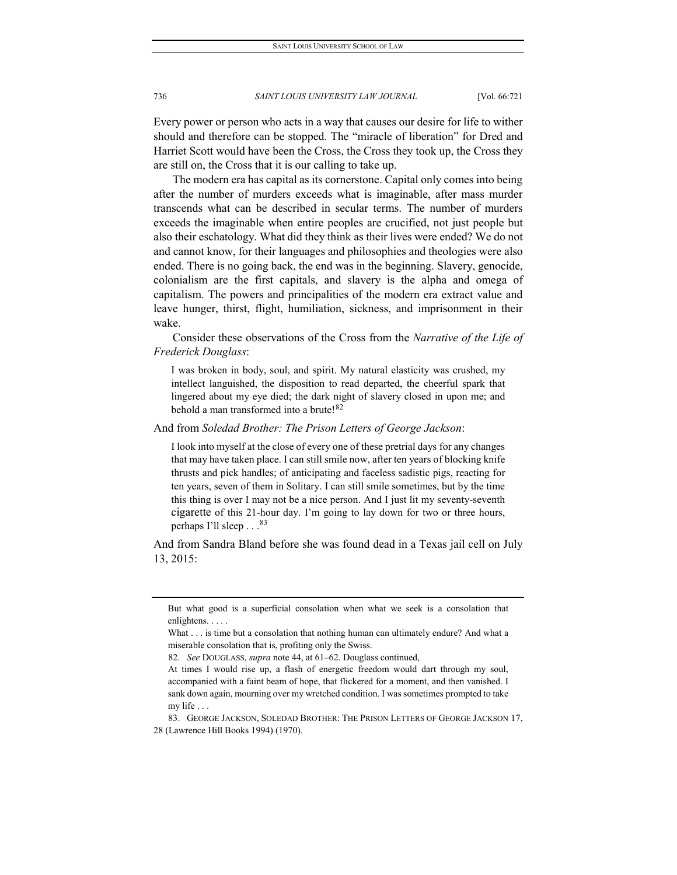Every power or person who acts in a way that causes our desire for life to wither should and therefore can be stopped. The "miracle of liberation" for Dred and Harriet Scott would have been the Cross, the Cross they took up, the Cross they are still on, the Cross that it is our calling to take up.

The modern era has capital as its cornerstone. Capital only comes into being after the number of murders exceeds what is imaginable, after mass murder transcends what can be described in secular terms. The number of murders exceeds the imaginable when entire peoples are crucified, not just people but also their eschatology. What did they think as their lives were ended? We do not and cannot know, for their languages and philosophies and theologies were also ended. There is no going back, the end was in the beginning. Slavery, genocide, colonialism are the first capitals, and slavery is the alpha and omega of capitalism. The powers and principalities of the modern era extract value and leave hunger, thirst, flight, humiliation, sickness, and imprisonment in their wake.

Consider these observations of the Cross from the *Narrative of the Life of Frederick Douglass*:

I was broken in body, soul, and spirit. My natural elasticity was crushed, my intellect languished, the disposition to read departed, the cheerful spark that lingered about my eye died; the dark night of slavery closed in upon me; and behold a man transformed into a brute!<sup>[82](#page-16-0)</sup>

And from *Soledad Brother: The Prison Letters of George Jackson*:

I look into myself at the close of every one of these pretrial days for any changes that may have taken place. I can still smile now, after ten years of blocking knife thrusts and pick handles; of anticipating and faceless sadistic pigs, reacting for ten years, seven of them in Solitary. I can still smile sometimes, but by the time this thing is over I may not be a nice person. And I just lit my seventy-seventh cigarette of this 21-hour day. I'm going to lay down for two or three hours, perhaps I'll sleep . . .<sup>[83](#page-16-1)</sup>

And from Sandra Bland before she was found dead in a Texas jail cell on July 13, 2015:

82*. See* DOUGLASS, *supra* note 44, at 61–62. Douglass continued,

But what good is a superficial consolation when what we seek is a consolation that enlightens. . . . .

What . . . is time but a consolation that nothing human can ultimately endure? And what a miserable consolation that is, profiting only the Swiss.

At times I would rise up, a flash of energetic freedom would dart through my soul, accompanied with a faint beam of hope, that flickered for a moment, and then vanished. I sank down again, mourning over my wretched condition. I was sometimes prompted to take my life . . .

<span id="page-16-1"></span><span id="page-16-0"></span><sup>83.</sup> GEORGE JACKSON, SOLEDAD BROTHER: THE PRISON LETTERS OF GEORGE JACKSON 17, 28 (Lawrence Hill Books 1994) (1970).